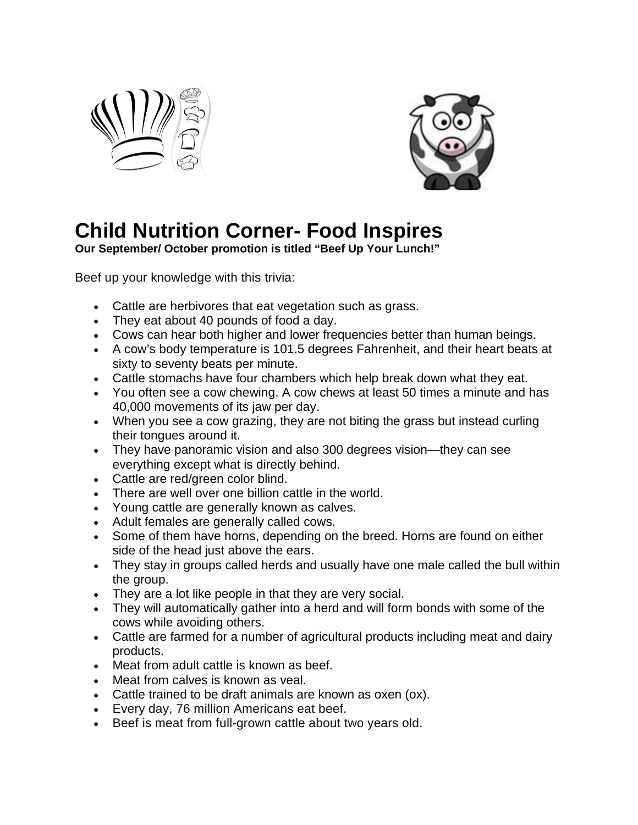



## **Child Nutrition Corner- Food Inspires**

**Our September/ October promotion is titled "Beef Up Your Lunch!"**

Beef up your knowledge with this trivia:

- Cattle are herbivores that eat vegetation such as grass.
- They eat about 40 pounds of food a day.
- Cows can hear both higher and lower frequencies better than human beings.
- A cow's body temperature is 101.5 degrees Fahrenheit, and their heart beats at sixty to seventy beats per minute.
- Cattle stomachs have four chambers which help break down what they eat.
- You often see a cow chewing. A cow chews at least 50 times a minute and has 40,000 movements of its jaw per day.
- When you see a cow grazing, they are not biting the grass but instead curling their tongues around it.
- They have panoramic vision and also 300 degrees vision—they can see everything except what is directly behind.
- Cattle are red/green color blind.
- There are well over one billion cattle in the world.
- Young cattle are generally known as calves.
- Adult females are generally called cows.
- Some of them have horns, depending on the breed. Horns are found on either side of the head just above the ears.
- They stay in groups called herds and usually have one male called the bull within the group.
- They are a lot like people in that they are very social.
- They will automatically gather into a herd and will form bonds with some of the cows while avoiding others.
- Cattle are farmed for a number of agricultural products including meat and dairy products.
- Meat from adult cattle is known as beef.
- Meat from calves is known as veal.
- Cattle trained to be draft animals are known as oxen (ox).
- Every day, 76 million Americans eat beef.
- Beef is meat from full-grown cattle about two years old.